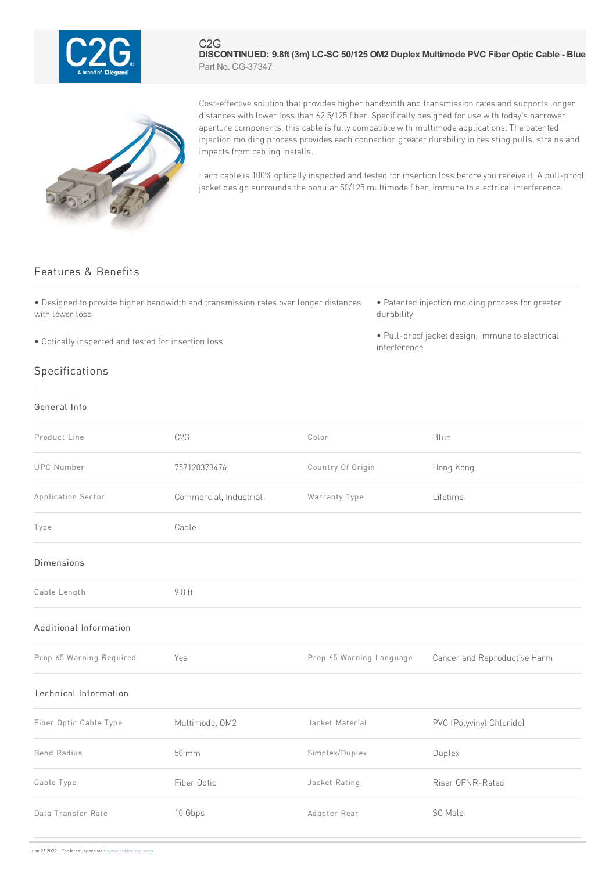

#### C2G **DISCONTINUED: 9.8ft (3m) LC-SC 50/125 OM2 Duplex Multimode PVC Fiber Optic Cable - Blue** Part No. CG-37347



Cost-effective solution that provides higher bandwidth and transmission rates and supports longer distances with lower loss than 62.5/125 fiber. Specifically designed for use with today's narrower aperture components, this cable is fully compatible with multimode applications. The patented injection molding process provides each connection greater durability in resisting pulls, strains and impacts from cabling installs.

Each cable is 100% optically inspected and tested for insertion loss before you receive it. A pull-proof jacket design surrounds the popular 50/125 multimode fiber, immune to electrical interference.

## Features & Benefits

• Designed to provide higher bandwidth and transmission rates over longer distances with lower loss

• Optically inspected and tested for insertion loss

# • Patented injection molding process for greater durability

• Pull-proof jacket design, immune to electrical interference

## Specifications

### General Info

| Product Line                 | C <sub>2</sub> G       | Color                    | Blue                         |
|------------------------------|------------------------|--------------------------|------------------------------|
| <b>UPC Number</b>            | 757120373476           | Country Of Origin        | Hong Kong                    |
| Application Sector           | Commercial, Industrial | Warranty Type            | Lifetime                     |
| Type                         | Cable                  |                          |                              |
| Dimensions                   |                        |                          |                              |
| Cable Length                 | 9.8 ft                 |                          |                              |
| Additional Information       |                        |                          |                              |
| Prop 65 Warning Required     | Yes                    | Prop 65 Warning Language | Cancer and Reproductive Harm |
| <b>Technical Information</b> |                        |                          |                              |
| Fiber Optic Cable Type       | Multimode, OM2         | Jacket Material          | PVC (Polyvinyl Chloride)     |
| <b>Bend Radius</b>           | 50 mm                  | Simplex/Duplex           | Duplex                       |
| Cable Type                   | Fiber Optic            | Jacket Rating            | Riser OFNR-Rated             |
| Data Transfer Rate           | 10 Gbps                | Adapter Rear             | SC Male                      |
|                              |                        |                          |                              |